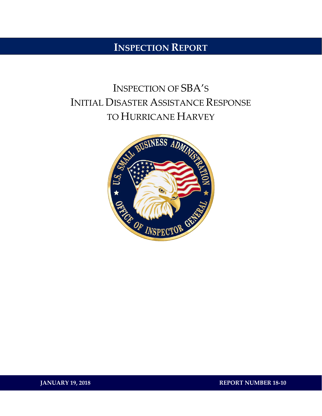## **INSPECTION REPORT**

# INSPECTION OF SBA'S INITIAL DISASTER ASSISTANCE RESPONSE TO HURRICANE HARVEY



**JANUARY 19, 2018 REPORT NUMBER 18-10**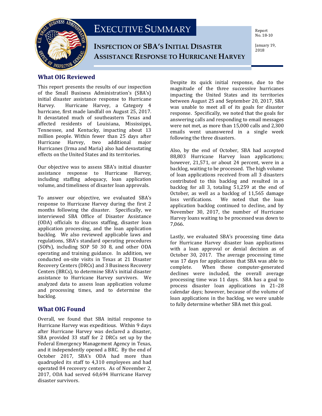

## EXECUTIVE SUMMARY

**INSPECTION OF SBA'S INITIAL DISASTER ASSISTANCE RESPONSE TO HURRICANE HARVEY** Report No. 18-10

January 19, 2018

#### **What OIG Reviewed**

This report presents the results of our inspection of the Small Business Administration's (SBA's) initial disaster assistance response to Hurricane Hurricane Harvey, a Category 4 hurricane, first made landfall on August 25, 2017. It devastated much of southeastern Texas and affected residents of Louisiana, Mississippi, Tennessee, and Kentucky, impacting about 13 million people. Within fewer than 25 days after Hurricane Harvey, two additional major Hurricanes (Irma and Maria) also had devastating effects on the United States and its territories.

Our objective was to assess SBA's initial disaster assistance response to Hurricane Harvey, including staffing adequacy, loan application volume, and timeliness of disaster loan approvals.

To answer our objective, we evaluated SBA's response to Hurricane Harvey during the first 2 months following the disaster. Specifically, we interviewed SBA Office of Disaster Assistance (ODA) officials to discuss staffing, disaster loan application processing, and the loan application backlog. We also reviewed applicable laws and regulations, SBA's standard operating procedures (SOPs), including SOP 50 30 8, and other ODA operating and training guidance. In addition, we conducted on-site visits in Texas at 21 Disaster Recovery Centers (DRCs) and 3 Business Recovery Centers (BRCs), to determine SBA's initial disaster assistance to Hurricane Harvey survivors. We analyzed data to assess loan application volume and processing times, and to determine the backlog.

#### **What OIG Found**

Overall, we found that SBA initial response to Hurricane Harvey was expeditious. Within 9 days after Hurricane Harvey was declared a disaster, SBA provided 33 staff for 2 DRCs set up by the Federal Emergency Management Agency in Texas, and it independently opened a BRC. By the end of October 2017, SBA's ODA had more than quadrupled its staff to 4,310 employees and had operated 84 recovery centers. As of November 2, 2017, ODA had served 60,694 Hurricane Harvey disaster survivors.

Despite its quick initial response, due to the magnitude of the three successive hurricanes impacting the United States and its territories between August 25 and September 20, 2017, SBA was unable to meet all of its goals for disaster response. Specifically, we noted that the goals for answering calls and responding to email messages were not met, as more than 15,000 calls and 2,300 emails went unanswered in a single week following the three disasters.

Also, by the end of October, SBA had accepted 88,803 Hurricane Harvey loan applications; however, 21,571, or about 24 percent, were in a backlog, waiting to be processed. The high volume of loan applications received from all 3 disasters contributed to this backlog and resulted in a backlog for all 3, totaling 51,259 at the end of October, as well as a backlog of 11,565 damage<br>loss verifications. We noted that the loan We noted that the loan application backlog continued to decline, and by November 30, 2017, the number of Hurricane Harvey loans waiting to be processed was down to 7,066.

Lastly, we evaluated SBA's processing time data for Hurricane Harvey disaster loan applications with a loan approval or denial decision as of October 30, 2017. The average processing time was 17 days for applications that SBA was able to<br>complete. When these computer-generated When these computer-generated declines were included, the overall average processing time was 11 days. SBA has a goal to process disaster loan applications in 21–28 calendar days; however, because of the volume of loan applications in the backlog, we were unable to fully determine whether SBA met this goal.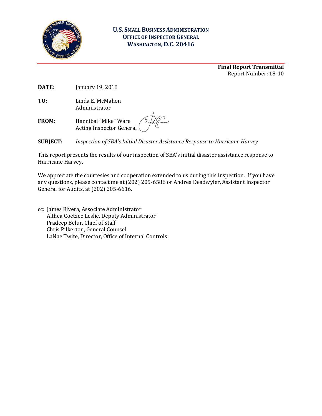

#### **U.S. SMALL BUSINESS ADMINISTRATION OFFICE OF INSPECTOR GENERAL WASHINGTON, D.C. 20416**

**Final Report Transmittal** Report Number: 18-10

**DATE**: January 19, 2018

**TO:** Linda E. McMahon Administrator

**FROM:** Hannibal "Mike" Ware Acting Inspector General

**SUBJECT:** *Inspection of SBA's Initial Disaster Assistance Response to Hurricane Harvey*

This report presents the results of our inspection of SBA's initial disaster assistance response to Hurricane Harvey.

We appreciate the courtesies and cooperation extended to us during this inspection. If you have any questions, please contact me at (202) 205-6586 or Andrea Deadwyler, Assistant Inspector General for Audits, at (202) 205-6616.

cc: James Rivera, Associate Administrator Althea Coetzee Leslie, Deputy Administrator Pradeep Belur, Chief of Staff Chris Pilkerton, General Counsel LaNae Twite, Director, Office of Internal Controls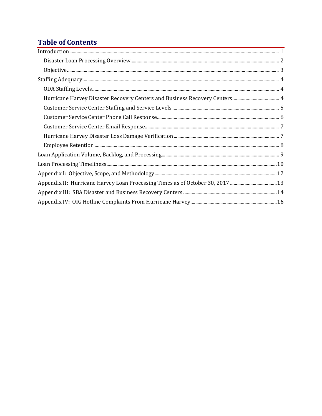## **Table of Contents**

| $\fbox{Introduction.} \label{prop:nonlinear} \begin{minipage}[t]{0.9\linewidth} \hbox{Introduction.} \end{minipage}$ |
|----------------------------------------------------------------------------------------------------------------------|
|                                                                                                                      |
|                                                                                                                      |
|                                                                                                                      |
|                                                                                                                      |
|                                                                                                                      |
|                                                                                                                      |
|                                                                                                                      |
|                                                                                                                      |
|                                                                                                                      |
|                                                                                                                      |
|                                                                                                                      |
|                                                                                                                      |
|                                                                                                                      |
| Appendix II: Hurricane Harvey Loan Processing Times as of October 30, 2017 13                                        |
|                                                                                                                      |
|                                                                                                                      |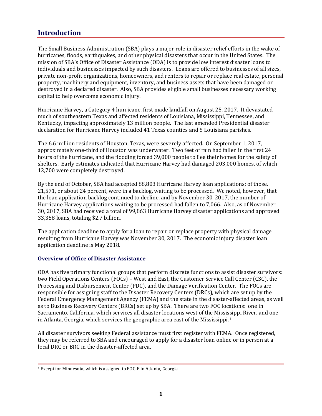### <span id="page-4-0"></span>**Introduction**

The Small Business Administration (SBA) plays a major role in disaster relief efforts in the wake of hurricanes, floods, earthquakes, and other physical disasters that occur in the United States. The mission of SBA's Office of Disaster Assistance (ODA) is to provide low interest disaster loans to individuals and businesses impacted by such disasters. Loans are offered to businesses of all sizes, private non-profit organizations, homeowners, and renters to repair or replace real estate, personal property, machinery and equipment, inventory, and business assets that have been damaged or destroyed in a declared disaster. Also, SBA provides eligible small businesses necessary working capital to help overcome economic injury.

Hurricane Harvey, a Category 4 hurricane, first made landfall on August 25, 2017. It devastated much of southeastern Texas and affected residents of Louisiana, Mississippi, Tennessee, and Kentucky, impacting approximately 13 million people. The last amended Presidential disaster declaration for Hurricane Harvey included 41 Texas counties and 5 Louisiana parishes.

The 6.6 million residents of Houston, Texas, were severely affected. On September 1, 2017, approximately one-third of Houston was underwater. Two feet of rain had fallen in the first 24 hours of the hurricane, and the flooding forced 39,000 people to flee their homes for the safety of shelters. Early estimates indicated that Hurricane Harvey had damaged 203,000 homes, of which 12,700 were completely destroyed.

By the end of October, SBA had accepted 88,803 Hurricane Harvey loan applications; of those, 21,571, or about 24 percent, were in a backlog, waiting to be processed. We noted, however, that the loan application backlog continued to decline, and by November 30, 2017, the number of Hurricane Harvey applications waiting to be processed had fallen to 7,066. Also, as of November 30, 2017, SBA had received a total of 99,863 Hurricane Harvey disaster applications and approved 33,358 loans, totaling \$2.7 billion.

The application deadline to apply for a loan to repair or replace property with physical damage resulting from Hurricane Harvey was November 30, 2017. The economic injury disaster loan application deadline is May 2018.

#### **Overview of Office of Disaster Assistance**

ODA has five primary functional groups that perform discrete functions to assist disaster survivors: two Field Operations Centers (FOCs) – West and East, the Customer Service Call Center (CSC), the Processing and Disbursement Center (PDC), and the Damage Verification Center. The FOCs are responsible for assigning staff to the Disaster Recovery Centers (DRCs), which are set up by the Federal Emergency Management Agency (FEMA) and the state in the disaster-affected areas, as well as to Business Recovery Centers (BRCs) set up by SBA. There are two FOC locations: one in Sacramento, California, which services all disaster locations west of the Mississippi River, and one in Atlanta, Georgia, which services the geographic area east of the Mississippi.[1](#page-4-1)

All disaster survivors seeking Federal assistance must first register with FEMA. Once registered, they may be referred to SBA and encouraged to apply for a disaster loan online or in person at a local DRC or BRC in the disaster-affected area.

<span id="page-4-1"></span><sup>1</sup> Except for Minnesota, which is assigned to FOC-E in Atlanta, Georgia.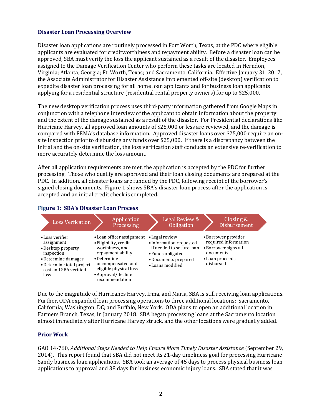#### <span id="page-5-0"></span>**Disaster Loan Processing Overview**

Disaster loan applications are routinely processed in Fort Worth, Texas, at the PDC where eligible applicants are evaluated for creditworthiness and repayment ability. Before a disaster loan can be approved, SBA must verify the loss the applicant sustained as a result of the disaster. Employees assigned to the Damage Verification Center who perform these tasks are located in Herndon, Virginia; Atlanta, Georgia; Ft. Worth, Texas; and Sacramento, California. Effective January 31, 2017, the Associate Administrator for Disaster Assistance implemented off-site (desktop) verification to expedite disaster loan processing for all home loan applicants and for business loan applicants applying for a residential structure (residential rental property owners) for up to \$25,000.

The new desktop verification process uses third-party information gathered from Google Maps in conjunction with a telephone interview of the applicant to obtain information about the property and the extent of the damage sustained as a result of the disaster. For Presidential declarations like Hurricane Harvey, all approved loan amounts of \$25,000 or less are reviewed, and the damage is compared with FEMA's database information. Approved disaster loans over \$25,000 require an onsite inspection prior to disbursing any funds over \$25,000. If there is a discrepancy between the initial and the on-site verification, the loss verification staff conducts an extensive re-verification to more accurately determine the loss amount.

After all application requirements are met, the application is accepted by the PDC for further processing. Those who qualify are approved and their loan closing documents are prepared at the PDC. In addition, all disaster loans are funded by the PDC, following receipt of the borrower's signed closing documents. Figure 1 shows SBA's disaster loan process after the application is accepted and an initial credit check is completed.

#### **Figure 1: SBA's Disaster Loan Process**



Due to the magnitude of Hurricanes Harvey, Irma, and Maria, SBA is still receiving loan applications. Further, ODA expanded loan processing operations to three additional locations: Sacramento, California; Washington, DC; and Buffalo, New York. ODA plans to open an additional location in Farmers Branch, Texas, in January 2018. SBA began processing loans at the Sacramento location almost immediately after Hurricane Harvey struck, and the other locations were gradually added.

#### **Prior Work**

GAO 14-760, *Additional Steps Needed to Help Ensure More Timely Disaster Assistance* (September 29, 2014). This report found that SBA did not meet its 21-day timeliness goal for processing Hurricane Sandy business loan applications. SBA took an average of 45 days to process physical business loan applications to approval and 38 days for business economic injury loans. SBA stated that it was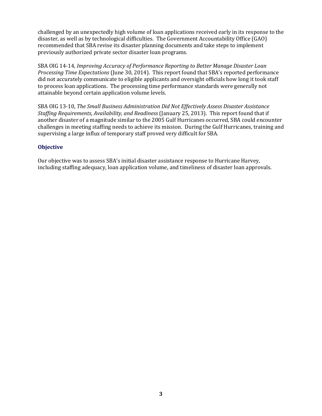challenged by an unexpectedly high volume of loan applications received early in its response to the disaster, as well as by technological difficulties. The Government Accountability Office (GAO) recommended that SBA revise its disaster planning documents and take steps to implement previously authorized private sector disaster loan programs.

SBA OIG 14-14, *Improving Accuracy of Performance Reporting to Better Manage Disaster Loan Processing Time Expectations* (June 30, 2014). This report found that SBA's reported performance did not accurately communicate to eligible applicants and oversight officials how long it took staff to process loan applications. The processing time performance standards were generally not attainable beyond certain application volume levels.

SBA OIG 13-10, *The Small Business Administration Did Not Effectively Assess Disaster Assistance Staffing Requirements, Availability, and Readiness* (January 25, 2013). This report found that if another disaster of a magnitude similar to the 2005 Gulf Hurricanes occurred, SBA could encounter challenges in meeting staffing needs to achieve its mission. During the Gulf Hurricanes, training and supervising a large influx of temporary staff proved very difficult for SBA.

#### <span id="page-6-0"></span>**Objective**

Our objective was to assess SBA's initial disaster assistance response to Hurricane Harvey, including staffing adequacy, loan application volume, and timeliness of disaster loan approvals.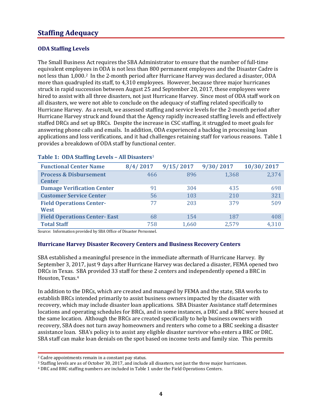### <span id="page-7-0"></span>**Staffing Adequacy**

#### <span id="page-7-1"></span>**ODA Staffing Levels**

The Small Business Act requires the SBA Administrator to ensure that the number of full-time equivalent employees in ODA is not less than 800 permanent employees and the Disaster Cadre is not less than 1,000[.2](#page-7-3) In the 2-month period after Hurricane Harvey was declared a disaster, ODA more than quadrupled its staff, to 4,310 employees. However, because three major hurricanes struck in rapid succession between August 25 and September 20, 2017, these employees were hired to assist with all three disasters, not just Hurricane Harvey. Since most of ODA staff work on all disasters, we were not able to conclude on the adequacy of staffing related specifically to Hurricane Harvey. As a result, we assessed staffing and service levels for the 2-month period after Hurricane Harvey struck and found that the Agency rapidly increased staffing levels and effectively staffed DRCs and set up BRCs. Despite the increase in CSC staffing, it struggled to meet goals for answering phone calls and emails. In addition, ODA experienced a backlog in processing loan applications and loss verifications, and it had challenges retaining staff for various reasons. Table 1 provides a breakdown of ODA staff by functional center.

| <b>Functional Center Name</b>       | 8/4/2017 | 9/15/2017 | 9/30/2017 | 10/30/2017 |
|-------------------------------------|----------|-----------|-----------|------------|
| <b>Process &amp; Disbursement</b>   | 466      | 896       | 1,368     | 2,374      |
| <b>Center</b>                       |          |           |           |            |
| <b>Damage Verification Center</b>   | 91       | 304       | 435       | 698        |
| <b>Customer Service Center</b>      | 56       | 103       | 210       | 321        |
| <b>Field Operations Center-</b>     | 77       | 203       | 379       | 509        |
| <b>West</b>                         |          |           |           |            |
| <b>Field Operations Center-East</b> | 68       | 154       | 187       | 408        |
| <b>Total Staff</b>                  | 758      | 1,660     | 2,579     | 4.310      |

#### **Table 1: ODA Staffing Levels – All Disasters**[3](#page-7-4)

Source: Information provided by SBA Office of Disaster Personnel.

#### <span id="page-7-2"></span>**Hurricane Harvey Disaster Recovery Centers and Business Recovery Centers**

SBA established a meaningful presence in the immediate aftermath of Hurricane Harvey. By September 3, 2017, just 9 days after Hurricane Harvey was declared a disaster, FEMA opened two DRCs in Texas. SBA provided 33 staff for these 2 centers and independently opened a BRC in Houston, Texas.[4](#page-7-5)

In addition to the DRCs, which are created and managed by FEMA and the state, SBA works to establish BRCs intended primarily to assist business owners impacted by the disaster with recovery, which may include disaster loan applications. SBA Disaster Assistance staff determines locations and operating schedules for BRCs, and in some instances, a DRC and a BRC were housed at the same location. Although the BRCs are created specifically to help business owners with recovery, SBA does not turn away homeowners and renters who come to a BRC seeking a disaster assistance loan. SBA's policy is to assist any eligible disaster survivor who enters a BRC or DRC. SBA staff can make loan denials on the spot based on income tests and family size. This permits

<span id="page-7-3"></span><sup>2</sup> Cadre appointments remain in a constant pay status.

<span id="page-7-4"></span><sup>3</sup> Staffing levels are as of October 30, 2017, and include all disasters, not just the three major hurricanes.

<span id="page-7-5"></span><sup>4</sup> DRC and BRC staffing numbers are included in Table 1 under the Field Operations Centers.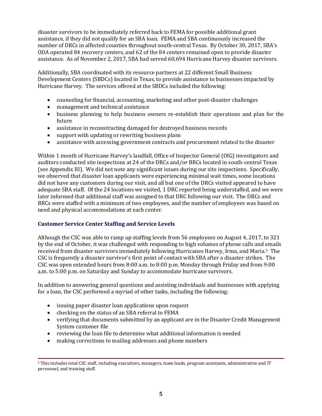disaster survivors to be immediately referred back to FEMA for possible additional grant assistance, if they did not qualify for an SBA loan. FEMA and SBA continuously increased the number of DRCs in affected counties throughout south-central Texas. By October 30, 2017, SBA's ODA operated 84 recovery centers, and 62 of the 84 centers remained open to provide disaster assistance. As of November 2, 2017, SBA had served 60,694 Hurricane Harvey disaster survivors.

Additionally, SBA coordinated with its resource partners at 22 different Small Business Development Centers (SBDCs) located in Texas, to provide assistance to businesses impacted by Hurricane Harvey. The services offered at the SBDCs included the following:

- counseling for financial, accounting, marketing and other post-disaster challenges
- management and technical assistance
- business planning to help business owners re-establish their operations and plan for the future
- assistance in reconstructing damaged for destroyed business records
- support with updating or rewriting business plans<br>• assistance with accessing government contracts an
- assistance with accessing government contracts and procurement related to the disaster

Within 1 month of Hurricane Harvey's landfall, Office of Inspector General (OIG) investigators and auditors conducted site inspections at 24 of the DRCs and/or BRCs located in south-central Texas (see Appendix III). We did not note any significant issues during our site inspections. Specifically, we observed that disaster loan applicants were experiencing minimal wait times, some locations did not have any customers during our visit, and all but one of the DRCs visited appeared to have adequate SBA staff. Of the 24 locations we visited, 1 DRC reported being understaffed, and we were later informed that additional staff was assigned to that DRC following our visit. The DRCs and BRCs were staffed with a minimum of two employees, and the number of employees was based on need and physical accommodations at each center.

#### <span id="page-8-0"></span>**Customer Service Center Staffing and Service Levels**

Although the CSC was able to ramp up staffing levels from 56 employees on August 4, 2017, to 321 by the end of October, it was challenged with responding to high volumes of phone calls and emails received from disaster survivors immediately following Hurricanes Harvey, Irma, and Maria.[5](#page-8-1) The CSC is frequently a disaster survivor's first point of contact with SBA after a disaster strikes. The CSC was open extended hours from 8:00 a.m. to 8:00 p.m. Monday through Friday and from 9:00 a.m. to 5:00 p.m. on Saturday and Sunday to accommodate hurricane survivors.

In addition to answering general questions and assisting individuals and businesses with applying for a loan, the CSC performed a myriad of other tasks, including the following:

- issuing paper disaster loan applications upon request
- checking on the status of an SBA referral to FEMA
- verifying that documents submitted by an applicant are in the Disaster Credit Management System customer file
- reviewing the loan file to determine what additional information is needed
- making corrections to mailing addresses and phone numbers

<span id="page-8-1"></span><sup>5</sup> This includes total CSC staff, including executives, managers, team leads, program assistants, administrative and IT personnel, and training staff.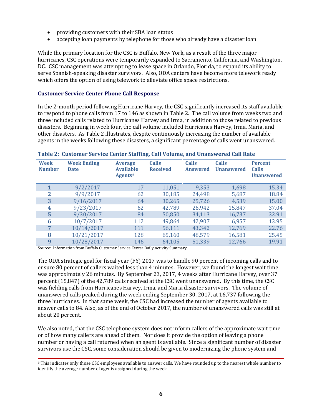- providing customers with their SBA loan status
- accepting loan payments by telephone for those who already have a disaster loan

While the primary location for the CSC is Buffalo, New York, as a result of the three major hurricanes, CSC operations were temporarily expanded to Sacramento, California, and Washington, DC. CSC management was attempting to lease space in Orlando, Florida, to expand its ability to serve Spanish-speaking disaster survivors. Also, ODA centers have become more telework ready which offers the option of using telework to alleviate office space restrictions.

#### <span id="page-9-0"></span>**Customer Service Center Phone Call Response**

In the 2-month period following Hurricane Harvey, the CSC significantly increased its staff available to respond to phone calls from 17 to 146 as shown in Table 2. The call volume from weeks two and three included calls related to Hurricanes Harvey and Irma, in addition to those related to previous disasters. Beginning in week four, the call volume included Hurricanes Harvey, Irma, Maria, and other disasters. As Table 2 illustrates, despite continuously increasing the number of available agents in the weeks following these disasters, a significant percentage of calls went unanswered.

| <b>Week</b><br><b>Number</b> | <b>Week Ending</b><br><b>Date</b> | <b>Average</b><br><b>Available</b><br>Agents <sup>6</sup> | <b>Calls</b><br><b>Received</b> | <b>Calls</b><br><b>Answered</b> | <b>Calls</b><br><b>Unanswered</b> | <b>Percent</b><br>Calls<br><b>Unanswered</b> |
|------------------------------|-----------------------------------|-----------------------------------------------------------|---------------------------------|---------------------------------|-----------------------------------|----------------------------------------------|
|                              | 9/2/2017                          | 17                                                        | 11,051                          | 9,353                           | 1,698                             | 15.34                                        |
| $\mathbf{2}$                 | 9/9/2017                          | 62                                                        | 30,185                          | 24,498                          | 5,687                             | 18.84                                        |
| 3                            | 9/16/2017                         | 64                                                        | 30,265                          | 25,726                          | 4,539                             | 15.00                                        |
| 4                            | 9/23/2017                         | 62                                                        | 42,789                          | 26,942                          | 15,847                            | 37.04                                        |
| 5                            | 9/30/2017                         | 84                                                        | 50,850                          | 34,113                          | 16,737                            | 32.91                                        |
| 6                            | 10/7/2017                         | 112                                                       | 49,864                          | 42,907                          | 6,957                             | 13.95                                        |
| 7                            | 10/14/2017                        | 111                                                       | 56,111                          | 43,342                          | 12,769                            | 22.76                                        |
| 8                            | 10/21/2017                        | 128                                                       | 65,160                          | 48,579                          | 16,581                            | 25.45                                        |
| 9                            | 10/28/2017                        | 146                                                       | 64,105                          | 51,339                          | 12,766                            | 19.91                                        |

#### **Table 2: Customer Service Center Staffing, Call Volume, and Unanswered Call Rate**

Source: Information from Buffalo Customer Service Center Daily Activity Summary.

The ODA strategic goal for fiscal year (FY) 2017 was to handle 90 percent of incoming calls and to ensure 80 percent of callers waited less than 4 minutes. However, we found the longest wait time was approximately 26 minutes. By September 23, 2017, 4 weeks after Hurricane Harvey, over 37 percent (15,847) of the 42,789 calls received at the CSC went unanswered. By this time, the CSC was fielding calls from Hurricanes Harvey, Irma, and Maria disaster survivors. The volume of unanswered calls peaked during the week ending September 30, 2017, at 16,737 following the three hurricanes. In that same week, the CSC had increased the number of agents available to answer calls to 84. Also, as of the end of October 2017, the number of unanswered calls was still at about 20 percent.

We also noted, that the CSC telephone system does not inform callers of the approximate wait time or of how many callers are ahead of them. Nor does it provide the option of leaving a phone number or having a call returned when an agent is available. Since a significant number of disaster survivors use the CSC, some consideration should be given to modernizing the phone system and

<span id="page-9-1"></span><sup>6</sup> This indicates only those CSC employees available to answer calls. We have rounded up to the nearest whole number to identify the average number of agents assigned during the week.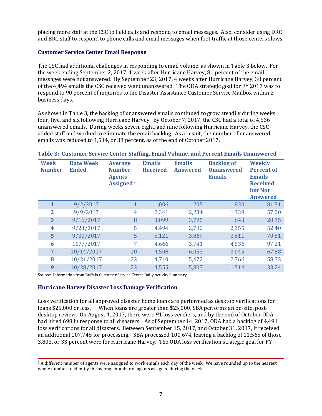placing more staff at the CSC to field calls and respond to email messages. Also, consider using DRC and BRC staff to respond to phone calls and email messages when foot traffic at those centers slows.

#### <span id="page-10-0"></span>**Customer Service Center Email Response**

The CSC had additional challenges in responding to email volume, as shown in Table 3 below. For the week ending September 2, 2017, 1 week after Hurricane Harvey, 81 percent of the email messages were not answered. By September 23, 2017, 4 weeks after Hurricane Harvey, 38 percent of the 4,494 emails the CSC received went unanswered. The ODA strategic goal for FY 2017 was to respond to 90 percent of inquiries to the Disaster Assistance Customer Service Mailbox within 2 business days.

As shown in Table 3, the backlog of unanswered emails continued to grow steadily during weeks four, five, and six following Hurricane Harvey. By October 7, 2017, the CSC had a total of 4,536 unanswered emails. During weeks seven, eight, and nine following Hurricane Harvey, the CSC added staff and worked to eliminate the email backlog. As a result, the number of unanswered emails was reduced to 1,514, or 33 percent, as of the end of October 2017.

| <b>Week</b><br><b>Number</b> | <b>Date Week</b><br><b>Ended</b> | <b>Average</b><br><b>Number</b><br><b>Agents</b><br>Assigned <sup>7</sup> | <b>Emails</b><br><b>Received</b> | <b>Emails</b><br><b>Answered</b> | <b>Backlog of</b><br><b>Unanswered</b><br><b>Emails</b> | <b>Weekly</b><br><b>Percent of</b><br><b>Emails</b><br><b>Received</b><br>but Not<br><b>Answered</b> |
|------------------------------|----------------------------------|---------------------------------------------------------------------------|----------------------------------|----------------------------------|---------------------------------------------------------|------------------------------------------------------------------------------------------------------|
| 1                            | 9/2/2017                         | 1                                                                         | 1,006                            | 205                              | 820                                                     | 81.51                                                                                                |
| $\overline{2}$               | 9/9/2017                         | 4                                                                         | 2,341                            | 2,234                            | 1,339                                                   | 57.20                                                                                                |
| 3                            | 9/16/2017                        | 8                                                                         | 3,099                            | 3,795                            | 643                                                     | 20.75                                                                                                |
| 4                            | 9/23/2017                        | 5                                                                         | 4,494                            | 2,782                            | 2,355                                                   | 52.40                                                                                                |
| 5                            | 9/30/2017                        | 5                                                                         | 5,121                            | 3,869                            | 3,611                                                   | 70.51                                                                                                |
| 6                            | 10/7/2017                        | 7                                                                         | 4,666                            | 3,741                            | 4,536                                                   | 97.21                                                                                                |
| 7                            | 10/14/2017                       | 10                                                                        | 4,506                            | 6,053                            | 3,045                                                   | 67.58                                                                                                |
| 8                            | 10/21/2017                       | 22                                                                        | 4,710                            | 5,472                            | 2,766                                                   | 58.73                                                                                                |
| 9                            | 10/28/2017                       | 22                                                                        | 4,555                            | 5,807                            | 1,514                                                   | 33.24                                                                                                |

#### **Table 3: Customer Service Center Staffing, Email Volume, and Percent Emails Unanswered**

Source: Information from Buffalo Customer Service Center Daily Activity Summary.

#### <span id="page-10-1"></span>**Hurricane Harvey Disaster Loss Damage Verification**

Loss verification for all approved disaster home loans are performed as desktop verifications for When loans are greater than \$25,000, SBA performs an on-site, postdesktop review. On August 4, 2017, there were 91 loss verifiers, and by the end of October ODA had hired 698 in response to all disasters. As of September 14, 2017, ODA had a backlog of 4,491 loss verifications for all disasters. Between September 15, 2017, and October 31, 2017, it received an additional 107,748 for processing. SBA processed 100,674, leaving a backlog of 11,565 of those 3,803, or 33 percent were for Hurricane Harvey. The ODA loss verification strategic goal for FY

<span id="page-10-2"></span><sup>7</sup> A different number of agents were assigned to work emails each day of the week. We have rounded up to the nearest whole number to identify the average number of agents assigned during the week.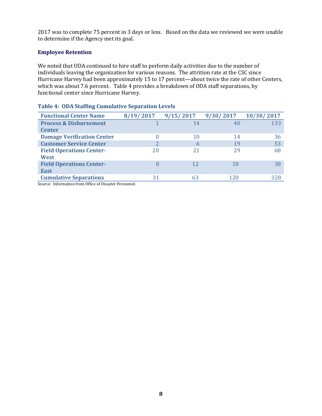2017 was to complete 75 percent in 3 days or less. Based on the data we reviewed we were unable to determine if the Agency met its goal.

#### <span id="page-11-0"></span>**Employee Retention**

We noted that ODA continued to hire staff to perform daily activities due to the number of individuals leaving the organization for various reasons. The attrition rate at the CSC since Hurricane Harvey had been approximately 15 to 17 percent—about twice the rate of other Centers, which was about 7.6 percent. Table 4 provides a breakdown of ODA staff separations, by functional center since Hurricane Harvey.

| <b>Functional Center Name</b>     | 8/19/2017 | 9/15/2017 | 9/30/2017 | 10/30/2017 |
|-----------------------------------|-----------|-----------|-----------|------------|
| <b>Process &amp; Disbursement</b> |           | 14        | 40        | 133        |
| <b>Center</b>                     |           |           |           |            |
| <b>Damage Verification Center</b> | 0         | 10        | 14        | 36         |
| <b>Customer Service Center</b>    |           | 6         | 19        | 53         |
| <b>Field Operations Center-</b>   | 20        | 21        | 29        | 68         |
| West                              |           |           |           |            |
| <b>Field Operations Center-</b>   | 8         | 12        | 18        | 38         |
| <b>East</b>                       |           |           |           |            |
| <b>Cumulative Separations</b>     | 31        | 63        | 120       | 328        |

#### **Table 4: ODA Staffing Cumulative Separation Levels**

Source: Information from Office of Disaster Personnel.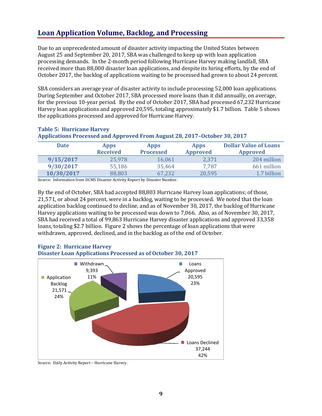## <span id="page-12-0"></span>**Loan Application Volume, Backlog, and Processing**

Due to an unprecedented amount of disaster activity impacting the United States between August 25 and September 20, 2017, SBA was challenged to keep up with loan application processing demands. In the 2-month period following Hurricane Harvey making landfall, SBA received more than 88,000 disaster loan applications, and despite its hiring efforts, by the end of October 2017, the backlog of applications waiting to be processed had grown to about 24 percent.

SBA considers an average year of disaster activity to include processing 52,000 loan applications. During September and October 2017, SBA processed more loans than it did annually, on average, for the previous 10-year period. By the end of October 2017, SBA had processed 67,232 Hurricane Harvey loan applications and approved 20,595, totaling approximately \$1.7 billion. Table 5 shows the applications processed and approved for Hurricane Harvey.

| <b>Date</b>                                                               | <b>Apps</b>     | <b>Apps</b>      | <b>Apps</b>     | <b>Dollar Value of Loans</b> |
|---------------------------------------------------------------------------|-----------------|------------------|-----------------|------------------------------|
|                                                                           | <b>Received</b> | <b>Processed</b> | <b>Approved</b> | <b>Approved</b>              |
| 9/15/2017                                                                 | 25,978          | 16,061           | 2,371           | 204 million                  |
| 9/30/2017                                                                 | 55,186          | 35,464           | 7,787           | 661 million                  |
| 10/30/2017                                                                | 88,803          | 67,232           | 20,595          | 1.7 billion                  |
| Source: Information from DCMS Disaster Activity Report by Disaster Number |                 |                  |                 |                              |

#### **Table 5: Hurricane Harvey**

#### **Applications Processed and Approved From August 28, 2017–October 30, 2017**

Information from DCMS Disaster Activity Report by Disaster Number.

By the end of October, SBA had accepted 88,803 Hurricane Harvey loan applications; of those, 21,571, or about 24 percent, were in a backlog, waiting to be processed. We noted that the loan application backlog continued to decline, and as of November 30, 2017, the backlog of Hurricane Harvey applications waiting to be processed was down to 7,066. Also, as of November 30, 2017, SBA had received a total of 99,863 Hurricane Harvey disaster applications and approved 33,358 loans, totaling \$2.7 billion. Figure 2 shows the percentage of loan applications that were withdrawn, approved, declined, and in the backlog as of the end of October.



### **Figure 2: Hurricane Harvey**

Source: Daily Activity Report – Hurricane Harvey.

**9**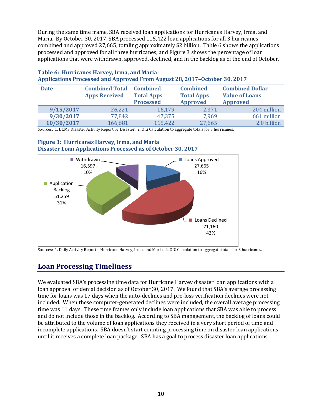During the same time frame, SBA received loan applications for Hurricanes Harvey, Irma, and Maria. By October 30, 2017, SBA processed 115,422 loan applications for all 3 hurricanes combined and approved 27,665, totaling approximately \$2 billion. Table 6 shows the applications processed and approved for all three hurricanes, and Figure 3 shows the percentage of loan applications that were withdrawn, approved, declined, and in the backlog as of the end of October.

| <b>Date</b> | <b>Combined Total Combined</b><br><b>Apps Received</b> | <b>Total Apps</b><br><b>Processed</b> | <b>Combined</b><br><b>Total Apps</b><br><b>Approved</b> | <b>Combined Dollar</b><br><b>Value of Loans</b><br><b>Approved</b> |
|-------------|--------------------------------------------------------|---------------------------------------|---------------------------------------------------------|--------------------------------------------------------------------|
| 9/15/2017   | 26,221                                                 | 16,179                                | 2,371                                                   | 204 million                                                        |
| 9/30/2017   | 77,842                                                 | 47,375                                | 7,969                                                   | 661 million                                                        |
| 10/30/2017  | 166,681                                                | 115,422                               | 27,665                                                  | 2.0 billion                                                        |

#### **Table 6: Hurricanes Harvey, Irma, and Maria Applications Processed and Approved From August 28, 2017–October 30, 2017**

Sources: 1. DCMS Disaster Activity Report by Disaster. 2. OIG Calculation to aggregate totals for 3 hurricanes.

#### **Figure 3: Hurricanes Harvey, Irma, and Maria Disaster Loan Applications Processed as of October 30, 2017**



Sources: 1. Daily Activity Report – Hurricane Harvey, Irma, and Maria. 2. OIG Calculation to aggregate totals for 3 hurricanes.

## <span id="page-13-0"></span>**Loan Processing Timeliness**

We evaluated SBA's processing time data for Hurricane Harvey disaster loan applications with a loan approval or denial decision as of October 30, 2017. We found that SBA's average processing time for loans was 17 days when the auto-declines and pre-loss verification declines were not included. When these computer-generated declines were included, the overall average processing time was 11 days. These time frames only include loan applications that SBA was able to process and do not include those in the backlog. According to SBA management, the backlog of loans could be attributed to the volume of loan applications they received in a very short period of time and incomplete applications. SBA doesn't start counting processing time on disaster loan applications until it receives a complete loan package. SBA has a goal to process disaster loan applications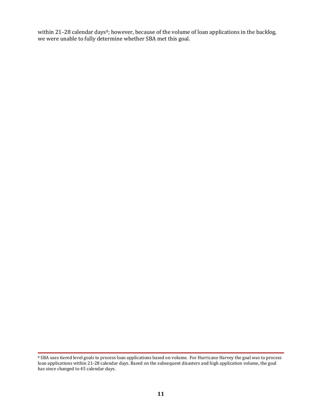within 21-2[8](#page-14-0) calendar days<sup>8</sup>; however, because of the volume of loan applications in the backlog, we were unable to fully determine whether SBA met this goal.

<span id="page-14-0"></span><sup>&</sup>lt;sup>8</sup> SBA uses tiered level goals to process loan applications based on volume. For Hurricane Harvey the goal was to process loan applications within 21-28 calendar days. Based on the subsequent disasters and high application volume, the goal has since changed to 45 calendar days.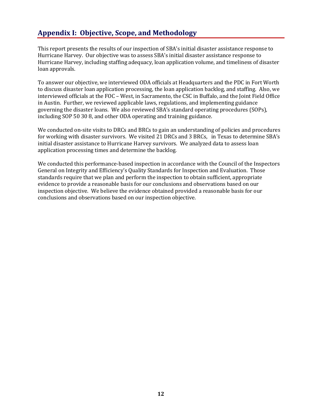## <span id="page-15-0"></span>**Appendix I: Objective, Scope, and Methodology**

This report presents the results of our inspection of SBA's initial disaster assistance response to Hurricane Harvey. Our objective was to assess SBA's initial disaster assistance response to Hurricane Harvey, including staffing adequacy, loan application volume, and timeliness of disaster loan approvals.

To answer our objective, we interviewed ODA officials at Headquarters and the PDC in Fort Worth to discuss disaster loan application processing, the loan application backlog, and staffing. Also, we interviewed officials at the FOC – West, in Sacramento, the CSC in Buffalo, and the Joint Field Office in Austin. Further, we reviewed applicable laws, regulations, and implementing guidance governing the disaster loans. We also reviewed SBA's standard operating procedures (SOPs), including SOP 50 30 8, and other ODA operating and training guidance.

We conducted on-site visits to DRCs and BRCs to gain an understanding of policies and procedures for working with disaster survivors. We visited 21 DRCs and 3 BRCs, in Texas to determine SBA's initial disaster assistance to Hurricane Harvey survivors. We analyzed data to assess loan application processing times and determine the backlog.

We conducted this performance-based inspection in accordance with the Council of the Inspectors General on Integrity and Efficiency's Quality Standards for Inspection and Evaluation. Those standards require that we plan and perform the inspection to obtain sufficient, appropriate evidence to provide a reasonable basis for our conclusions and observations based on our inspection objective. We believe the evidence obtained provided a reasonable basis for our conclusions and observations based on our inspection objective.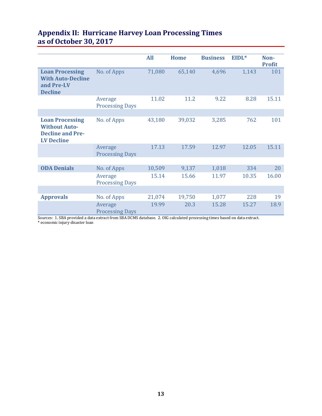|                                                                                                |                                   | <b>All</b> | <b>Home</b> | <b>Business</b> | EIDL* | Non-          |
|------------------------------------------------------------------------------------------------|-----------------------------------|------------|-------------|-----------------|-------|---------------|
|                                                                                                |                                   |            |             |                 |       | <b>Profit</b> |
| <b>Loan Processing</b><br><b>With Auto-Decline</b><br>and Pre-LV<br><b>Decline</b>             | No. of Apps                       | 71,080     | 65,140      | 4,696           | 1,143 | 101           |
|                                                                                                | Average<br><b>Processing Days</b> | 11.02      | 11.2        | 9.22            | 8.28  | 15.11         |
|                                                                                                |                                   |            |             |                 |       |               |
| <b>Loan Processing</b><br><b>Without Auto-</b><br><b>Decline and Pre-</b><br><b>LV Decline</b> | No. of Apps                       | 43,180     | 39,032      | 3,285           | 762   | 101           |
|                                                                                                | Average<br><b>Processing Days</b> | 17.13      | 17.59       | 12.97           | 12.05 | 15.11         |
|                                                                                                |                                   |            |             |                 |       |               |
| <b>ODA Denials</b>                                                                             | No. of Apps                       | 10,509     | 9,137       | 1,018           | 334   | 20            |
|                                                                                                | Average<br><b>Processing Days</b> | 15.14      | 15.66       | 11.97           | 10.35 | 16.00         |
|                                                                                                |                                   |            |             |                 |       |               |
| <b>Approvals</b>                                                                               | No. of Apps                       | 21,074     | 19,750      | 1,077           | 228   | 19            |
|                                                                                                | Average<br><b>Processing Days</b> | 19.99      | 20.3        | 15.28           | 15.27 | 18.9          |

## <span id="page-16-0"></span>**Appendix II: Hurricane Harvey Loan Processing Times as of October 30, 2017**

Sources: 1. SBA provided a data extract from SBA DCMS database. 2. OIG calculated processing times based on data extract. \* economic injury disaster loan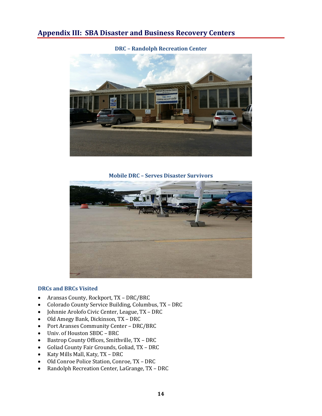### <span id="page-17-0"></span>**Appendix III: SBA Disaster and Business Recovery Centers**

**DRC – Randolph Recreation Center**



**Mobile DRC – Serves Disaster Survivors**



#### **DRCs and BRCs Visited**

- Aransas County, Rockport, TX DRC/BRC
- Colorado County Service Building, Columbus, TX DRC<br>• Iohnnie Arolofo Civic Center. League. TX DRC
- Johnnie Arolofo Civic Center, League, TX DRC
- Old Amegy Bank, Dickinson, TX DRC<br>• Port Aranses Community Center DRC
- Port Aranses Community Center DRC/BRC
- Univ. of Houston SBDC BRC<br>• Bastron County Offices, Smith
- Bastrop County Offices, Smithville, TX DRC
- Goliad County Fair Grounds, Goliad, TX DRC<br>• Katy Mills Mall. Katy. TX DRC
- Katy Mills Mall, Katy, TX DRC
- Old Conroe Police Station, Conroe, TX DRC<br>• Randolph Recreation Center, LaGrange, TX –
- Randolph Recreation Center, LaGrange, TX DRC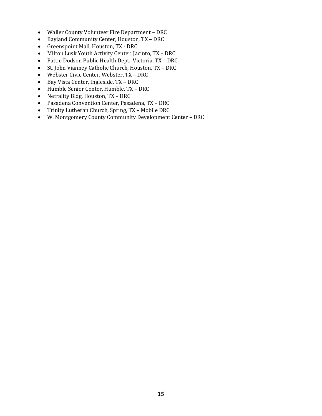- Waller County Volunteer Fire Department DRC<br>• Bayland Community Center, Houston, TX DRC
- Bayland Community Center, Houston, TX DRC<br>• Greenspoint Mall, Houston, TX DRC
- Greenspoint Mall, Houston, TX DRC
- Milton Lusk Youth Activity Center, Jacinto, TX DRC<br>• Pattie Dodson Public Health Dept., Victoria, TX DRC
- Pattie Dodson Public Health Dept., Victoria, TX DRC
- St. John Vianney Catholic Church, Houston, TX DRC<br>• Webster Civic Center, Webster, TX DRC
- Webster Civic Center, Webster, TX DRC
- Bay Vista Center, Ingleside, TX DRC<br>• Humble Senior Center, Humble, TX I
- Humble Senior Center, Humble, TX DRC<br>• Netrality Bldg. Houston, TX DRC
- Netrality Bldg. Houston, TX DRC<br>• Pasadena Convention Center, Pasa
- Pasadena Convention Center, Pasadena, TX DRC
- Trinity Lutheran Church, Spring, TX Mobile DRC
- W. Montgomery County Community Development Center DRC